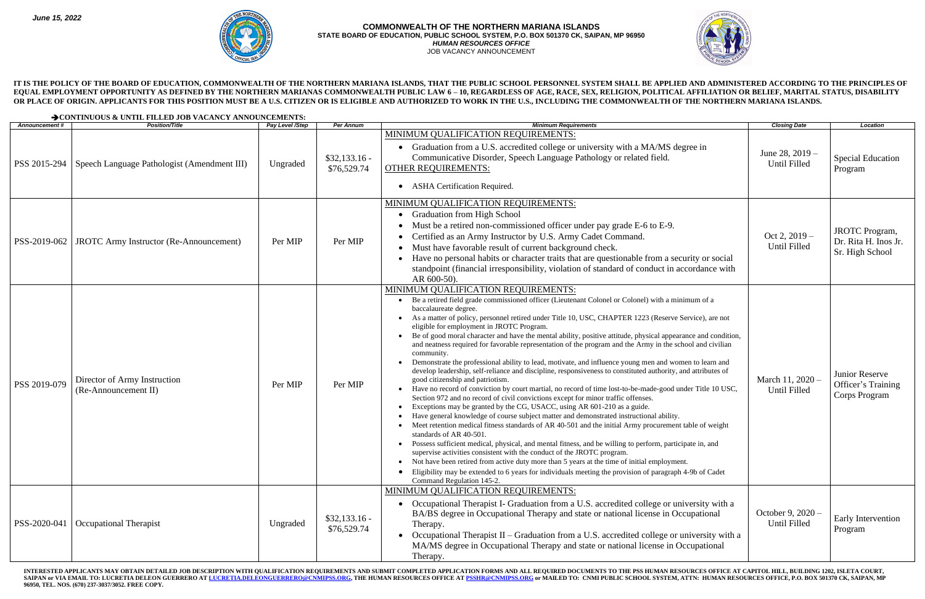INTERESTED APPLICANTS MAY OBTAIN DETAILED JOB DESCRIPTION WITH QUALIFICATION REQUIREMENTS AND SUBMIT COMPLETED APPLICATION FORMS AND ALL REQUIRED DOCUMENTS TO THE PSS HUMAN RESOURCES OFFICE AT CAPITOL HILL, BUILDING 1202, SAIPAN or VIA EMAIL TO: LUCRETIA DELEON GUERRERO AT <u>[LUCRETIA.DELEONGUERRERO@CNMIPSS.ORG,](mailto:LUCRETIA.DELEONGUERRERO@CNMIPSS.ORG)</u> THE HUMAN RESOURCES OFFICE AT <u>PSSHR@CNMIPSS.ORG</u> or MAILED TO: CNMI PUBLIC SCHOOL SYSTEM, ATTN: HUMAN RESOURCES OFFICE, P.O. BOX **96950, TEL. NOS. (670) 237-3037/3052. FREE COPY.**





**IT IS THE POLICY OF THE BOARD OF EDUCATION, COMMONWEALTH OF THE NORTHERN MARIANA ISLANDS, THAT THE PUBLIC SCHOOL PERSONNEL SYSTEM SHALL BE APPLIED AND ADMINISTERED ACCORDING TO THE PRINCIPLES OF**  EQUAL EMPLOYMENT OPPORTUNITY AS DEFINED BY THE NORTHERN MARIANAS COMMONWEALTH PUBLIC LAW 6 - 10, REGARDLESS OF AGE, RACE, SEX, RELIGION, POLITICAL AFFILIATION OR BELIEF, MARITAL STATUS, DISABILITY **OR PLACE OF ORIGIN. APPLICANTS FOR THIS POSITION MUST BE A U.S. CITIZEN OR IS ELIGIBLE AND AUTHORIZED TO WORK IN THE U.S., INCLUDING THE COMMONWEALTH OF THE NORTHERN MARIANA ISLANDS.**

|                      | > CONTINUOUS & UNTIL FILLED JOB VACANCY ANNOUNCEMENTS: |                 |                               |                                                                                                                                                                                                                                                                                                                                                                                                                                                                                                                                                                                                                                                                                                                                                                                                                                                                                                                                                                                                                                                                                                                                                                                                                                                                                                                                                                                                                                                                                                                                                                                                                                                                                                                                                                                      |                                          |                                                                  |  |  |  |
|----------------------|--------------------------------------------------------|-----------------|-------------------------------|--------------------------------------------------------------------------------------------------------------------------------------------------------------------------------------------------------------------------------------------------------------------------------------------------------------------------------------------------------------------------------------------------------------------------------------------------------------------------------------------------------------------------------------------------------------------------------------------------------------------------------------------------------------------------------------------------------------------------------------------------------------------------------------------------------------------------------------------------------------------------------------------------------------------------------------------------------------------------------------------------------------------------------------------------------------------------------------------------------------------------------------------------------------------------------------------------------------------------------------------------------------------------------------------------------------------------------------------------------------------------------------------------------------------------------------------------------------------------------------------------------------------------------------------------------------------------------------------------------------------------------------------------------------------------------------------------------------------------------------------------------------------------------------|------------------------------------------|------------------------------------------------------------------|--|--|--|
| <b>Announcement#</b> | <b>Position/Title</b>                                  | Pay Level /Step | <b>Per Annum</b>              | <b>Minimum Requirements</b>                                                                                                                                                                                                                                                                                                                                                                                                                                                                                                                                                                                                                                                                                                                                                                                                                                                                                                                                                                                                                                                                                                                                                                                                                                                                                                                                                                                                                                                                                                                                                                                                                                                                                                                                                          | <b>Closing Date</b>                      | Location                                                         |  |  |  |
| PSS 2015-294         | Speech Language Pathologist (Amendment III)            | Ungraded        | $$32,133.16$ -<br>\$76,529.74 | MINIMUM QUALIFICATION REQUIREMENTS:<br>• Graduation from a U.S. accredited college or university with a MA/MS degree in<br>Communicative Disorder, Speech Language Pathology or related field.<br><b>OTHER REQUIREMENTS:</b><br>• ASHA Certification Required.                                                                                                                                                                                                                                                                                                                                                                                                                                                                                                                                                                                                                                                                                                                                                                                                                                                                                                                                                                                                                                                                                                                                                                                                                                                                                                                                                                                                                                                                                                                       | June 28, $2019 -$<br><b>Until Filled</b> | <b>Special Education</b><br>Program                              |  |  |  |
| PSS-2019-062         | <b>JROTC</b> Army Instructor (Re-Announcement)         | Per MIP         | Per MIP                       | MINIMUM QUALIFICATION REQUIREMENTS:<br><b>Graduation from High School</b><br>Must be a retired non-commissioned officer under pay grade E-6 to E-9.<br>Certified as an Army Instructor by U.S. Army Cadet Command.<br>Must have favorable result of current background check.<br>• Have no personal habits or character traits that are questionable from a security or social<br>standpoint (financial irresponsibility, violation of standard of conduct in accordance with<br>AR 600-50).                                                                                                                                                                                                                                                                                                                                                                                                                                                                                                                                                                                                                                                                                                                                                                                                                                                                                                                                                                                                                                                                                                                                                                                                                                                                                         | Oct 2, $2019-$<br>Until Filled           | <b>JROTC</b> Program,<br>Dr. Rita H. Inos Jr.<br>Sr. High School |  |  |  |
| PSS 2019-079         | Director of Army Instruction<br>(Re-Announcement II)   | Per MIP         | Per MIP                       | MINIMUM QUALIFICATION REQUIREMENTS:<br>• Be a retired field grade commissioned officer (Lieutenant Colonel or Colonel) with a minimum of a<br>baccalaureate degree.<br>• As a matter of policy, personnel retired under Title 10, USC, CHAPTER 1223 (Reserve Service), are not<br>eligible for employment in JROTC Program.<br>Be of good moral character and have the mental ability, positive attitude, physical appearance and condition,<br>and neatness required for favorable representation of the program and the Army in the school and civilian<br>community.<br>Demonstrate the professional ability to lead, motivate, and influence young men and women to learn and<br>develop leadership, self-reliance and discipline, responsiveness to constituted authority, and attributes of<br>good citizenship and patriotism.<br>Have no record of conviction by court martial, no record of time lost-to-be-made-good under Title 10 USC,<br>Section 972 and no record of civil convictions except for minor traffic offenses.<br>Exceptions may be granted by the CG, USACC, using AR 601-210 as a guide.<br>Have general knowledge of course subject matter and demonstrated instructional ability.<br>Meet retention medical fitness standards of AR 40-501 and the initial Army procurement table of weight<br>standards of AR 40-501.<br>• Possess sufficient medical, physical, and mental fitness, and be willing to perform, participate in, and<br>supervise activities consistent with the conduct of the JROTC program.<br>Not have been retired from active duty more than 5 years at the time of initial employment.<br>• Eligibility may be extended to 6 years for individuals meeting the provision of paragraph 4-9b of Cadet<br>Command Regulation 145-2. | March 11, 2020 -<br><b>Until Filled</b>  | Junior Reserve<br>Officer's Training<br>Corps Program            |  |  |  |
| PSS-2020-041         | Occupational Therapist                                 | Ungraded        | $$32,133.16-$<br>\$76,529.74  | MINIMUM QUALIFICATION REQUIREMENTS:<br>• Occupational Therapist I- Graduation from a U.S. accredited college or university with a<br>BA/BS degree in Occupational Therapy and state or national license in Occupational<br>Therapy.<br>• Occupational Therapist II - Graduation from a U.S. accredited college or university with a<br>MA/MS degree in Occupational Therapy and state or national license in Occupational<br>Therapy.                                                                                                                                                                                                                                                                                                                                                                                                                                                                                                                                                                                                                                                                                                                                                                                                                                                                                                                                                                                                                                                                                                                                                                                                                                                                                                                                                | October 9, 2020 -<br>Until Filled        | Early Intervention<br>Program                                    |  |  |  |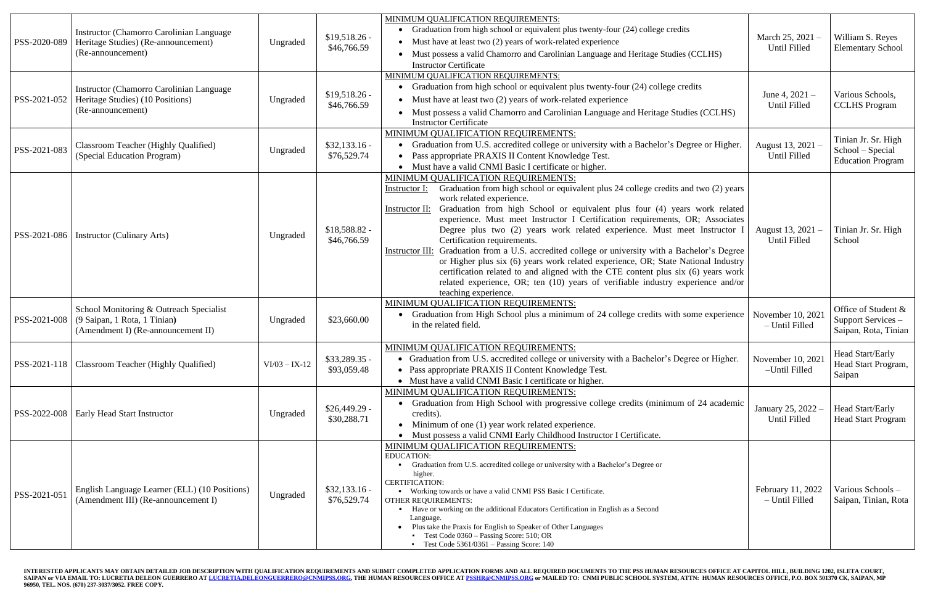| PSS-2020-089 | <b>Instructor (Chamorro Carolinian Language)</b><br>Heritage Studies) (Re-announcement)<br>(Re-announcement)  | Ungraded        | $$19,518.26$ -<br>\$46,766.59 | MINIMUM QUALIFICATION REQUIREMENTS:<br>• Graduation from high school or equivalent plus twenty-four (24) college credits<br>$\bullet$ Must have at least two (2) years of work-related experience<br>• Must possess a valid Chamorro and Carolinian Language and Heritage Studies (CCLHS)<br><b>Instructor Certificate</b>                                                                                                                                                                                                                                                                                                                                                                                                                                                                                                                                           | March 25, 2021 -<br>Until Filled     | William S. Reyes<br><b>Elementary School</b>                        |
|--------------|---------------------------------------------------------------------------------------------------------------|-----------------|-------------------------------|----------------------------------------------------------------------------------------------------------------------------------------------------------------------------------------------------------------------------------------------------------------------------------------------------------------------------------------------------------------------------------------------------------------------------------------------------------------------------------------------------------------------------------------------------------------------------------------------------------------------------------------------------------------------------------------------------------------------------------------------------------------------------------------------------------------------------------------------------------------------|--------------------------------------|---------------------------------------------------------------------|
| PSS-2021-052 | <b>Instructor (Chamorro Carolinian Language)</b><br>Heritage Studies) (10 Positions)<br>(Re-announcement)     | Ungraded        | $$19,518.26$ -<br>\$46,766.59 | MINIMUM QUALIFICATION REQUIREMENTS:<br>Graduation from high school or equivalent plus twenty-four (24) college credits<br>$\bullet$<br>• Must have at least two (2) years of work-related experience<br>Must possess a valid Chamorro and Carolinian Language and Heritage Studies (CCLHS)<br><b>Instructor Certificate</b>                                                                                                                                                                                                                                                                                                                                                                                                                                                                                                                                          | June 4, $2021 -$<br>Until Filled     | Various Schools,<br><b>CCLHS</b> Program                            |
| PSS-2021-083 | Classroom Teacher (Highly Qualified)<br>(Special Education Program)                                           | Ungraded        | $$32,133.16 -$<br>\$76,529.74 | MINIMUM QUALIFICATION REQUIREMENTS:<br>• Graduation from U.S. accredited college or university with a Bachelor's Degree or Higher.<br>Pass appropriate PRAXIS II Content Knowledge Test.<br>• Must have a valid CNMI Basic I certificate or higher.                                                                                                                                                                                                                                                                                                                                                                                                                                                                                                                                                                                                                  | August 13, 2021 -<br>Until Filled    | Tinian Jr. Sr. High<br>School – Special<br><b>Education Program</b> |
| PSS-2021-086 | Instructor (Culinary Arts)                                                                                    | Ungraded        | $$18,588.82$ -<br>\$46,766.59 | MINIMUM QUALIFICATION REQUIREMENTS:<br>Graduation from high school or equivalent plus 24 college credits and two (2) years<br><u>Instructor I:</u><br>work related experience.<br>Graduation from high School or equivalent plus four (4) years work related<br>Instructor II:<br>experience. Must meet Instructor I Certification requirements, OR; Associates<br>Degree plus two (2) years work related experience. Must meet Instructor I<br>Certification requirements.<br>Instructor III: Graduation from a U.S. accredited college or university with a Bachelor's Degree<br>or Higher plus six (6) years work related experience, OR; State National Industry<br>certification related to and aligned with the CTE content plus six (6) years work<br>related experience, OR; ten (10) years of verifiable industry experience and/or<br>teaching experience. | August 13, 2021<br>Until Filled      | Tinian Jr. Sr. High<br>School                                       |
| PSS-2021-008 | School Monitoring & Outreach Specialist<br>(9 Saipan, 1 Rota, 1 Tinian)<br>(Amendment I) (Re-announcement II) | Ungraded        | \$23,660.00                   | MINIMUM QUALIFICATION REQUIREMENTS:<br>• Graduation from High School plus a minimum of 24 college credits with some experience<br>in the related field.                                                                                                                                                                                                                                                                                                                                                                                                                                                                                                                                                                                                                                                                                                              | November $10, 202$<br>- Until Filled | Office of Student &<br>Support Services -<br>Saipan, Rota, Tinian   |
|              | PSS-2021-118   Classroom Teacher (Highly Qualified)                                                           | $VI/03 - IX-12$ | $$33,289.35 -$<br>\$93,059.48 | MINIMUM QUALIFICATION REQUIREMENTS:<br>• Graduation from U.S. accredited college or university with a Bachelor's Degree or Higher.<br>• Pass appropriate PRAXIS II Content Knowledge Test.<br>• Must have a valid CNMI Basic I certificate or higher.                                                                                                                                                                                                                                                                                                                                                                                                                                                                                                                                                                                                                | November 10, 2021<br>-Until Filled   | Head Start/Early<br>Head Start Program,<br>Saipan                   |
|              | PSS-2022-008   Early Head Start Instructor                                                                    | Ungraded        | $$26,449.29$ -<br>\$30,288.71 | MINIMUM QUALIFICATION REQUIREMENTS:<br>• Graduation from High School with progressive college credits (minimum of 24 academic<br>credits).<br>• Minimum of one $(1)$ year work related experience.<br>Must possess a valid CNMI Early Childhood Instructor I Certificate.                                                                                                                                                                                                                                                                                                                                                                                                                                                                                                                                                                                            | January 25, 2022<br>Until Filled     | Head Start/Early<br><b>Head Start Program</b>                       |
| PSS-2021-051 | English Language Learner (ELL) (10 Positions)<br>(Amendment III) (Re-announcement I)                          | Ungraded        | $$32,133.16-$<br>\$76,529.74  | MINIMUM QUALIFICATION REQUIREMENTS:<br><b>EDUCATION:</b><br>Graduation from U.S. accredited college or university with a Bachelor's Degree or<br>higher.<br><b>CERTIFICATION:</b><br>Working towards or have a valid CNMI PSS Basic I Certificate.<br><b>OTHER REQUIREMENTS:</b><br>Have or working on the additional Educators Certification in English as a Second<br>Language.<br>Plus take the Praxis for English to Speaker of Other Languages<br><b>Test Code 0360 - Passing Score: 510; OR</b><br><b>Test Code 5361/0361</b> – Passing Score: 140                                                                                                                                                                                                                                                                                                             | February 11, 2022<br>- Until Filled  | Various Schools-<br>Saipan, Tinian, Rota                            |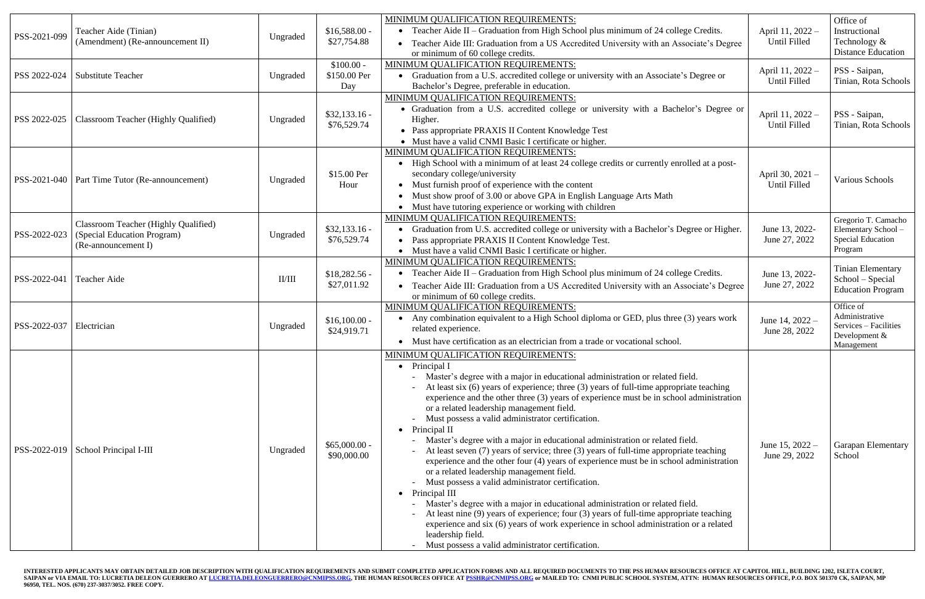| PSS-2021-099<br>PSS 2022-024 | Teacher Aide (Tinian)<br>(Amendment) (Re-announcement II)<br><b>Substitute Teacher</b>            | Ungraded<br>Ungraded | $$16,588.00 -$<br>\$27,754.88<br>$$100.00 -$<br>\$150.00 Per<br>Day | MINIMUM QUALIFICATION REQUIREMENTS:<br>• Teacher Aide II – Graduation from High School plus minimum of 24 college Credits.<br>• Teacher Aide III: Graduation from a US Accredited University with an Associate's Degree<br>or minimum of 60 college credits.<br>MINIMUM QUALIFICATION REQUIREMENTS:<br>• Graduation from a U.S. accredited college or university with an Associate's Degree or<br>Bachelor's Degree, preferable in education.                                                                                                                                                                                                                                                                                                                                                                                                                                                                                                                                                                                                                                                                                                                                           | April 11, 2022 -<br>Until Filled<br>April 11, 2022 -<br>Until Filled | Office of<br>Instructional<br>Technology &<br><b>Distance Education</b><br>PSS - Saipan,<br>Tinian, Rota Schools |
|------------------------------|---------------------------------------------------------------------------------------------------|----------------------|---------------------------------------------------------------------|-----------------------------------------------------------------------------------------------------------------------------------------------------------------------------------------------------------------------------------------------------------------------------------------------------------------------------------------------------------------------------------------------------------------------------------------------------------------------------------------------------------------------------------------------------------------------------------------------------------------------------------------------------------------------------------------------------------------------------------------------------------------------------------------------------------------------------------------------------------------------------------------------------------------------------------------------------------------------------------------------------------------------------------------------------------------------------------------------------------------------------------------------------------------------------------------|----------------------------------------------------------------------|------------------------------------------------------------------------------------------------------------------|
| PSS 2022-025                 | <b>Classroom Teacher (Highly Qualified)</b>                                                       | Ungraded             | $$32,133.16-$<br>\$76,529.74                                        | MINIMUM QUALIFICATION REQUIREMENTS:<br>• Graduation from a U.S. accredited college or university with a Bachelor's Degree or<br>Higher.<br>• Pass appropriate PRAXIS II Content Knowledge Test<br>• Must have a valid CNMI Basic I certificate or higher.                                                                                                                                                                                                                                                                                                                                                                                                                                                                                                                                                                                                                                                                                                                                                                                                                                                                                                                               | April 11, 2022 -<br>Until Filled                                     | PSS - Saipan,<br>Tinian, Rota Schools                                                                            |
|                              | PSS-2021-040   Part Time Tutor (Re-announcement)                                                  | Ungraded             | \$15.00 Per<br>Hour                                                 | MINIMUM QUALIFICATION REQUIREMENTS:<br>• High School with a minimum of at least 24 college credits or currently enrolled at a post-<br>secondary college/university<br>• Must furnish proof of experience with the content<br>Must show proof of 3.00 or above GPA in English Language Arts Math<br>• Must have tutoring experience or working with children                                                                                                                                                                                                                                                                                                                                                                                                                                                                                                                                                                                                                                                                                                                                                                                                                            | April 30, 2021 -<br>Until Filled                                     | Various Schools                                                                                                  |
| PSS-2022-023                 | <b>Classroom Teacher (Highly Qualified)</b><br>(Special Education Program)<br>(Re-announcement I) | Ungraded             | $$32,133.16 -$<br>\$76,529.74                                       | MINIMUM QUALIFICATION REQUIREMENTS:<br>• Graduation from U.S. accredited college or university with a Bachelor's Degree or Higher.<br>• Pass appropriate PRAXIS II Content Knowledge Test.<br>• Must have a valid CNMI Basic I certificate or higher.                                                                                                                                                                                                                                                                                                                                                                                                                                                                                                                                                                                                                                                                                                                                                                                                                                                                                                                                   | June 13, 2022-<br>June 27, 2022                                      | Gregorio T. Camacho<br>Elementary School-<br><b>Special Education</b><br>Program                                 |
| PSS-2022-041                 | Teacher Aide                                                                                      | II/III               | $$18,282.56$ -<br>\$27,011.92                                       | MINIMUM QUALIFICATION REQUIREMENTS:<br>• Teacher Aide II – Graduation from High School plus minimum of 24 college Credits.<br>Teacher Aide III: Graduation from a US Accredited University with an Associate's Degree<br>or minimum of 60 college credits.                                                                                                                                                                                                                                                                                                                                                                                                                                                                                                                                                                                                                                                                                                                                                                                                                                                                                                                              | June 13, 2022-<br>June 27, 2022                                      | <b>Tinian Elementary</b><br>School – Special<br><b>Education Program</b>                                         |
| PSS-2022-037                 | Electrician                                                                                       | Ungraded             | $$16,100.00 -$<br>\$24,919.71                                       | MINIMUM QUALIFICATION REQUIREMENTS:<br>• Any combination equivalent to a High School diploma or GED, plus three (3) years work<br>related experience.<br>• Must have certification as an electrician from a trade or vocational school.                                                                                                                                                                                                                                                                                                                                                                                                                                                                                                                                                                                                                                                                                                                                                                                                                                                                                                                                                 | June 14, 2022 -<br>June 28, 2022                                     | Office of<br>Administrative<br>Services – Facilities<br>Development &<br>Management                              |
|                              | PSS-2022-019   School Principal I-III                                                             | Ungraded             | $$65,000.00-$<br>\$90,000.00                                        | MINIMUM QUALIFICATION REQUIREMENTS:<br>• Principal I<br>Master's degree with a major in educational administration or related field.<br>At least six (6) years of experience; three (3) years of full-time appropriate teaching<br>experience and the other three (3) years of experience must be in school administration<br>or a related leadership management field.<br>Must possess a valid administrator certification.<br>• Principal II<br>Master's degree with a major in educational administration or related field.<br>At least seven (7) years of service; three (3) years of full-time appropriate teaching<br>experience and the other four (4) years of experience must be in school administration<br>or a related leadership management field.<br>Must possess a valid administrator certification.<br>• Principal III<br>Master's degree with a major in educational administration or related field.<br>At least nine (9) years of experience; four (3) years of full-time appropriate teaching<br>experience and six (6) years of work experience in school administration or a related<br>leadership field.<br>- Must possess a valid administrator certification. | June 15, $2022 -$<br>June 29, 2022                                   | <b>Garapan Elementary</b><br>School                                                                              |